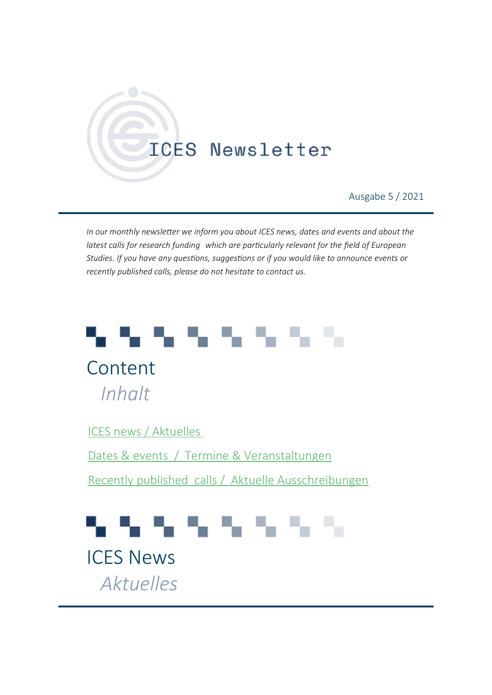# **ICES Newsletter**

Ausgabe 5 / 2021

*In our monthly newsletter we inform you about ICES news, dates and events and about the latest calls for research funding which are particularly relevant for the field of European Studies. If you have any questions, suggestions or if you would like to announce events or recently published calls, please do not hesitate to contact us.* 

# しんしんしんし

Content *Inhalt*

[ICES news / Aktuelles](#page-0-0)

 [Dates & events / Termine & Veranstaltungen](#page-2-0)

 [Recently published calls / Aktuelle Ausschreibungen](#page-4-0)

# 54 S.A

<span id="page-0-0"></span>ICES News *Aktuelles*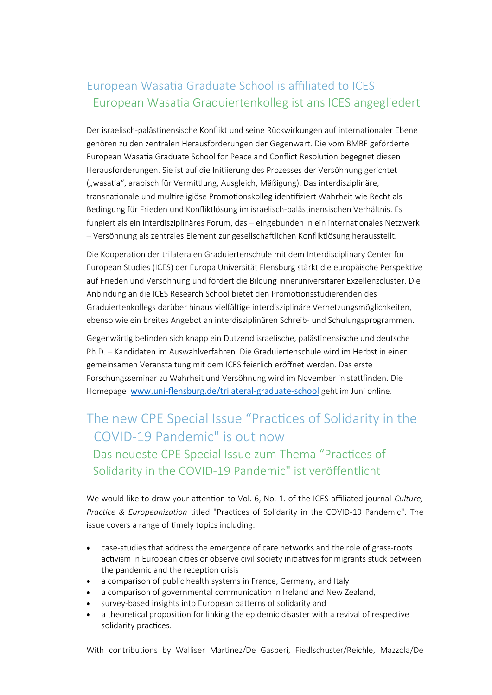# European Wasatia Graduate School is affiliated to ICES European Wasatia Graduiertenkolleg ist ans ICES angegliedert

Der israelisch-palästinensische Konflikt und seine Rückwirkungen auf internationaler Ebene gehören zu den zentralen Herausforderungen der Gegenwart. Die vom BMBF geförderte European Wasatia Graduate School for Peace and Conflict Resolution begegnet diesen Herausforderungen. Sie ist auf die Initiierung des Prozesses der Versöhnung gerichtet ("wasatia", arabisch für Vermittlung, Ausgleich, Mäßigung). Das interdisziplinäre, transnationale und multireligiöse Promotionskolleg identifiziert Wahrheit wie Recht als Bedingung für Frieden und Konfliktlösung im israelisch-palästinensischen Verhältnis. Es fungiert als ein interdisziplinäres Forum, das – eingebunden in ein internationales Netzwerk – Versöhnung als zentrales Element zur gesellschaftlichen Konfliktlösung herausstellt.

Die Kooperation der trilateralen Graduiertenschule mit dem Interdisciplinary Center for European Studies (ICES) der Europa Universität Flensburg stärkt die europäische Perspektive auf Frieden und Versöhnung und fördert die Bildung inneruniversitärer Exzellenzcluster. Die Anbindung an die ICES Research School bietet den Promotionsstudierenden des Graduiertenkollegs darüber hinaus vielfältige interdisziplinäre Vernetzungsmöglichkeiten, ebenso wie ein breites Angebot an interdisziplinären Schreib- und Schulungsprogrammen.

Gegenwärtig befinden sich knapp ein Dutzend israelische, palästinensische und deutsche Ph.D. – Kandidaten im Auswahlverfahren. Die Graduiertenschule wird im Herbst in einer gemeinsamen Veranstaltung mit dem ICES feierlich eröffnet werden. Das erste Forschungsseminar zu Wahrheit und Versöhnung wird im November in stattfinden. Die Homepage [www.uni-flensburg.de/trilateral-graduate-school](http://www.uni-flensburg.de/trilateral-graduate-school) geht im Juni online.

# The new CPE Special Issue "Practices of Solidarity in the COVID-19 Pandemic" is out now

## Das neueste CPE Special Issue zum Thema "Practices of Solidarity in the COVID-19 Pandemic" ist veröffentlicht

We would like to draw your attention to Vol. 6, No. 1. of the ICES-affiliated journal *Culture, Practice & Europeanization* titled "Practices of Solidarity in the COVID-19 Pandemic". The issue covers a range of timely topics including:

- case-studies that address the emergence of care networks and the role of grass-roots activism in European cities or observe civil society initiatives for migrants stuck between the pandemic and the reception crisis
- a comparison of public health systems in France, Germany, and Italy
- a comparison of governmental communication in Ireland and New Zealand,
- survey-based insights into European patterns of solidarity and
- a theoretical proposition for linking the epidemic disaster with a revival of respective solidarity practices.

With contributions by Walliser Martinez/De Gasperi, Fiedlschuster/Reichle, Mazzola/De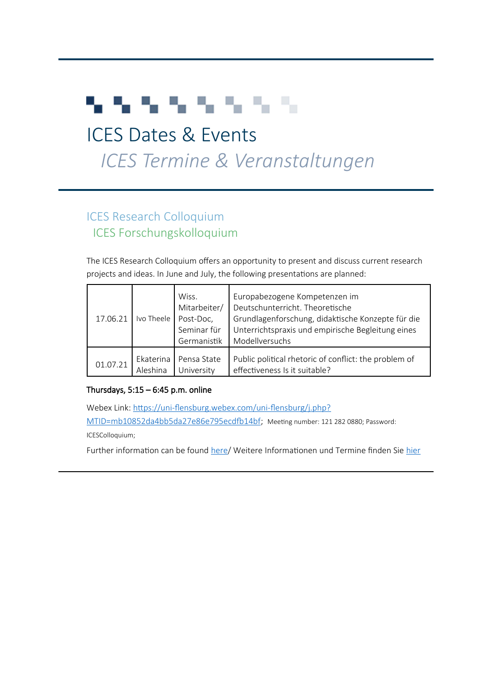# アクティング アンデ

# <span id="page-2-0"></span>ICES Dates & Events

# *ICES Termin[e & Veranstalt](mailto:M.Welsch@uni-heidelberg.de)ungen*

# ICES Research Colloquium ICES Forschungskolloquium

The ICES Research Colloquium offers an opportunity to present and discuss current research [projects and ideas. In June a](mailto:emanuel.lerch@univie.ac.at)nd July, the following presentations are planned:

| 17.06.21 | Ivo Theele | Wiss.<br>Mitarbeiter/<br>Post-Doc,<br>Seminar für<br>Germanistik | Europabezogene Kompetenzen im<br>Deutschunterricht. Theoretische<br>Grundlagenforschung, didaktische Konzepte für die<br>Unterrichtspraxis und empirische Begleitung eines<br>Modellversuchs |
|----------|------------|------------------------------------------------------------------|----------------------------------------------------------------------------------------------------------------------------------------------------------------------------------------------|
| 01.07.21 | Ekaterina  | Pensa State                                                      | Public political rhetoric of conflict: the problem of                                                                                                                                        |
|          | Aleshina   | University                                                       | effectiveness Is it suitable?                                                                                                                                                                |

#### Thursdays,  $5:15 - 6:45$  p.m. online

Webex Link: [https://uni-flensburg.webex.com/uni-flensburg/j.php?](https://uni-flensburg.webex.com/uni-flensburg/j.php?MTID=mb10852da4bb5da27e86e795ecdfb14bf) [MTID=mb10852da4bb5da27e86e795ecdfb14bf;](https://uni-flensburg.webex.com/uni-flensburg/j.php?MTID=mb10852da4bb5da27e86e795ecdfb14bf) Meeting number: 121 282 0880; Password: ICESColloquium;

Further information can be found [here/](https://www.uni-flensburg.de/en/ices/dates-and-events/ices-research-colloquium/) Weitere Informationen und Termine finden Sie [hier](https://www.uni-flensburg.de/ices/termine/ices-research-colloquium/)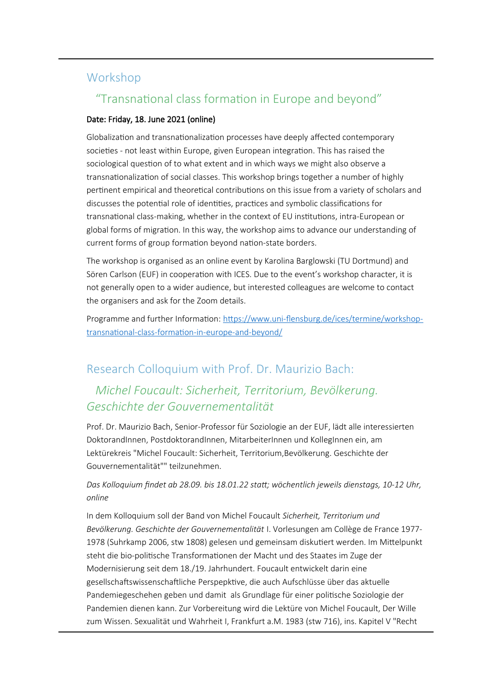### Workshop

### "Transnational class formation in Europe and beyond"

#### Date: Friday, 18. June 2021 (online)

Globalization and transnationalization processes have deeply affected contemporary societies - not least within Europe, given European integration. This has raised the sociological question of to what extent and in which ways we might also observe a transnationalization of social classes. This workshop brings together a number of highly pertinent empirical and theoretical contributions on this issue from a variety of scholars and discusses the potential role of identities, practices and symbolic classifications for transnational class-making, whether in the context of EU institutions, intra-European or global forms of migration. In this way, the workshop aims to advance our understanding of current forms of group formation beyond nation-state borders.

The workshop is organised as an online event by Karolina Barglowski (TU Dortmund) and Sören Carlson (EUF) in cooperation with ICES. Due to the event's workshop character, it is not generally open to a wider audience, but interested colleagues are welcome to contact the organisers and ask for the Zoom details.

Programme and further Information: [https://www.uni-flensburg.de/ices/termine/workshop](https://www.uni-flensburg.de/ices/termine/workshop-transnational-class-formation-in-europe-and-beyond/)[transnational-class-formation-in-europe-and-beyond/](https://www.uni-flensburg.de/ices/termine/workshop-transnational-class-formation-in-europe-and-beyond/)

### Research Colloquium with Prof. Dr. Maurizio Bach:

## *Michel Foucault: Sicherheit, Territorium, Bevölkerung. Geschichte der Gouvernementalität*

Prof. Dr. Maurizio Bach, Senior-Professor für Soziologie an der EUF, lädt alle interessierten DoktorandInnen, PostdoktorandInnen, MitarbeiterInnen und KollegInnen ein, am Lektürekreis "Michel Foucault: Sicherheit, Territorium,Bevölkerung. Geschichte der Gouvernementalität"" teilzunehmen.

#### *Das Kolloquium findet ab 28.09. bis 18.01.22 statt; wöchentlich jeweils dienstags, 10-12 Uhr, online*

In dem Kolloquium soll der Band von Michel Foucault *Sicherheit, Territorium und Bevölkerung. Geschichte der Gouvernementalität* I. Vorlesungen am Collège de France 1977- 1978 (Suhrkamp 2006, stw 1808) gelesen und gemeinsam diskutiert werden. Im Mittelpunkt steht die bio-politische Transformationen der Macht und des Staates im Zuge der Modernisierung seit dem 18./19. Jahrhundert. Foucault entwickelt darin eine gesellschaftswissenschaftliche Perspepktive, die auch Aufschlüsse über das aktuelle Pandemiegeschehen geben und damit als Grundlage für einer politische Soziologie der Pandemien dienen kann. Zur Vorbereitung wird die Lektüre von Michel Foucault, Der Wille zum Wissen. Sexualität und Wahrheit I, Frankfurt a.M. 1983 (stw 716), ins. Kapitel V "Recht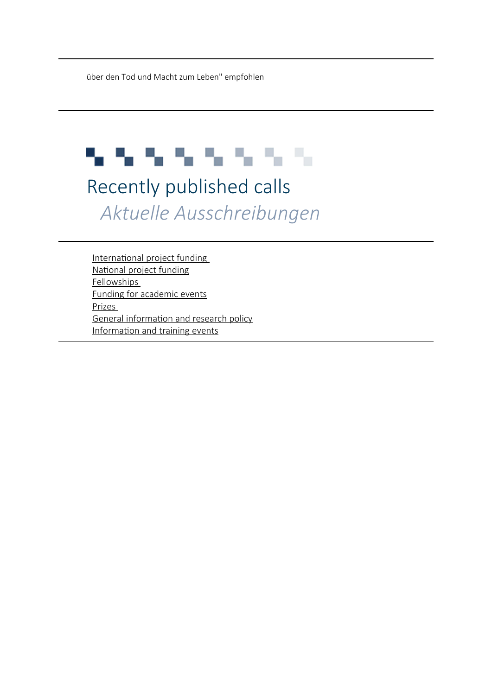über den Tod und Macht zum Leben" empfohlen

# アクティング アクティブ

# <span id="page-4-0"></span>Recently published calls *Aktuelle Ausschreibungen*

<span id="page-4-1"></span>[International project funding](#page-4-1)  [National project funding](#page-5-0) [Fellowships](#page-8-2)  [Funding for academic events](#page-8-1) [Prizes](#page-8-0)  [General information and research policy](#page-11-0) [Information and training events](#page-13-0)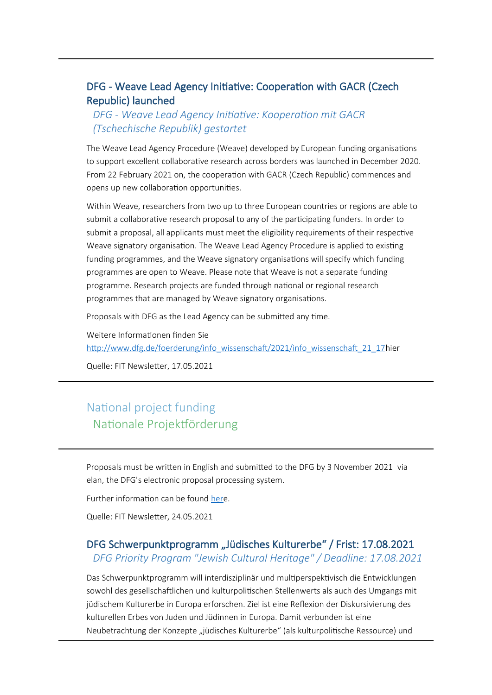#### DFG - Weave Lead Agency Initiative: Cooperation with GACR (Czech Republic) launched

#### *DFG - Weave Lead Agency Initiative: Kooperation mit GACR (Tschechische Republik) gestartet*

The Weave Lead Agency Procedure (Weave) developed by European funding organisations to support excellent collaborative research across borders was launched in December 2020. From 22 February 2021 on, the cooperation with GACR (Czech Republic) commences and opens up new collaboration opportunities.

Within Weave, researchers from two up to three European countries or regions are able to submit a collaborative research proposal to any of the participating funders. In order to submit a proposal, all applicants must meet the eligibility requirements of their respective Weave signatory organisation. The Weave Lead Agency Procedure is applied to existing funding programmes, and the Weave signatory organisations will specify which funding programmes are open to Weave. Please note that Weave is not a separate funding programme. Research projects are funded through national or regional research programmes that are managed by Weave signatory organisations.

Proposals with DFG as the Lead Agency can be submitted any time.

Weitere Informationen finden Sie [http://www.dfg.de/foerderung/info\\_wissenschaft/2021/info\\_wissenschaft\\_21\\_17h](http://www.dfg.de/foerderung/info_wissenschaft/2021/info_wissenschaft_21_17)ier

Quelle: FIT Newsletter, 17.05.2021

## <span id="page-5-0"></span>National project funding Nationale Projektförderung

Proposals must be written in English and submitted to the DFG by 3 November 2021 via elan, the DFG's electronic proposal processing system.

Further information can be found [her](https://www.dfg.de/foerderung/info_wissenschaft/info_wissenschaft_21_45/index.html)e.

Quelle: FIT Newsletter, 24.05.2021

#### DFG Schwerpunktprogramm "Jüdisches Kulturerbe" / Frist: 17.08.2021 *DFG Priority Program "Jewish Cultural Heritage" / Deadline: 17.08.2021*

Das Schwerpunktprogramm will interdisziplinär und multiperspektivisch die Entwicklungen sowohl des gesellschaftlichen und kulturpolitischen Stellenwerts als auch des Umgangs mit jüdischem Kulturerbe in Europa erforschen. Ziel ist eine Reflexion der Diskursivierung des kulturellen Erbes von Juden und Jüdinnen in Europa. Damit verbunden ist eine Neubetrachtung der Konzepte "jüdisches Kulturerbe" (als kulturpolitische Ressource) und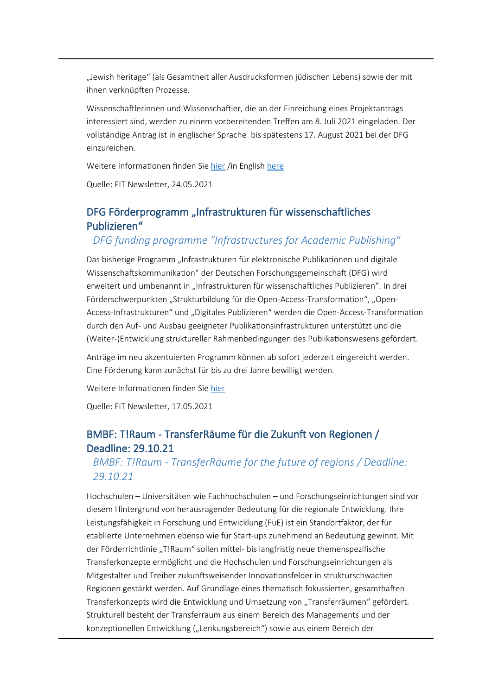"Jewish heritage" (als Gesamtheit aller Ausdrucksformen jüdischen Lebens) sowie der mit ihnen verknüpften Prozesse.

Wissenschaftlerinnen und Wissenschaftler, die an der Einreichung eines Projektantrags interessiert sind, werden zu einem vorbereitenden Treffen am 8. Juli 2021 eingeladen. Der vollständige Antrag ist in englischer Sprache bis spätestens 17. August 2021 bei der DFG einzureichen.

Weitere Informationen finden Sie [hier](https://www.dfg.de/foerderung/info_wissenschaft/info_wissenschaft_21_41/index.html;%20http:/www.ezjm.hmtm-hannover.de/de/forschung/spp-juedisches-kulturerbe) /in English [here](https://www.dfg.de/en/research_funding/announcements_proposals/2021/info_wissenschaft_21_41/index.html)

Quelle: FIT Newsletter, 24.05.2021

#### DFG Förderprogramm "Infrastrukturen für wissenschaftliches Publizieren"

#### *DFG funding programme "Infrastructures for Academic Publishing"*

Das bisherige Programm "Infrastrukturen für elektronische Publikationen und digitale Wissenschaftskommunikation" der Deutschen Forschungsgemeinschaft (DFG) wird erweitert und umbenannt in "Infrastrukturen für wissenschaftliches Publizieren". In drei Förderschwerpunkten "Strukturbildung für die Open-Access-Transformation", "Open-Access-Infrastrukturen" und "Digitales Publizieren" werden die Open-Access-Transformation durch den Auf- und Ausbau geeigneter Publikationsinfrastrukturen unterstützt und die (Weiter-)Entwicklung struktureller Rahmenbedingungen des Publikationswesens gefördert.

Anträge im neu akzentuierten Programm können ab sofort jederzeit eingereicht werden. Eine Förderung kann zunächst für bis zu drei Jahre bewilligt werden.

Weitere Informationen finden Sie [hier](https://www.dfg.de/foerderung/programme/infrastruktur/lis/lis_foerderangebote/infrastrukturen_publizieren/index.html)

Quelle: FIT Newsletter, 17.05.2021

#### BMBF: T!Raum - TransferRäume für die Zukunft von Regionen / Deadline: 29.10.21

#### *BMBF: T!Raum - TransferRäume for the future of regions / Deadline: 29.10.21*

Hochschulen – Universitäten wie Fachhochschulen – und Forschungseinrichtungen sind vor diesem Hintergrund von herausragender Bedeutung für die regionale Entwicklung. Ihre Leistungsfähigkeit in Forschung und Entwicklung (FuE) ist ein Standortfaktor, der für etablierte Unternehmen ebenso wie für Start-ups zunehmend an Bedeutung gewinnt. Mit der Förderrichtlinie "T!Raum" sollen mittel- bis langfristig neue themenspezifische Transferkonzepte ermöglicht und die Hochschulen und Forschungseinrichtungen als Mitgestalter und Treiber zukunftsweisender Innovationsfelder in strukturschwachen Regionen gestärkt werden. Auf Grundlage eines thematisch fokussierten, gesamthaften Transferkonzepts wird die Entwicklung und Umsetzung von "Transferräumen" gefördert. Strukturell besteht der Transferraum aus einem Bereich des Managements und der konzeptionellen Entwicklung ("Lenkungsbereich") sowie aus einem Bereich der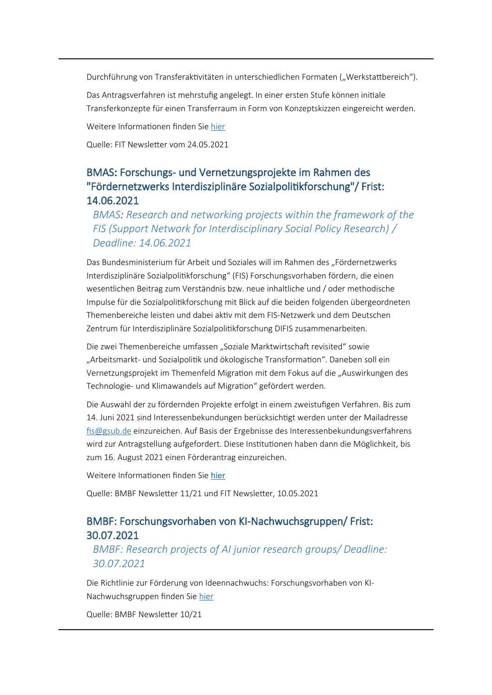Durchführung von Transferaktivitäten in unterschiedlichen Formaten ("Werkstattbereich").

Das Antragsverfahren ist mehrstufig angelegt. In einer ersten Stufe können initiale Transferkonzepte für einen Transferraum in Form von Konzeptskizzen eingereicht werden.

Weitere Informationen finden Sie [hier](https://www.bmbf.de/foerderungen/bekanntmachung-3606.html)

Quelle: FIT Newsletter vom 24.05.2021

#### BMAS: Forschungs- und Vernetzungsprojekte im Rahmen des "Fördernetzwerks Interdisziplinäre Sozialpolitikforschung"/ Frist: 14.06.2021

*BMAS: Research and networking projects within the framework of the FIS (Support Network for Interdisciplinary Social Policy Research) / Deadline: 14.06.2021*

Das Bundesministerium für Arbeit und Soziales will im Rahmen des "Fördernetzwerks Interdisziplinäre Sozialpolitikforschung" (FIS) Forschungsvorhaben fördern, die einen wesentlichen Beitrag zum Verständnis bzw. neue inhaltliche und / oder methodische Impulse für die Sozialpolitikforschung mit Blick auf die beiden folgenden übergeordneten Themenbereiche leisten und dabei aktiv mit dem FIS-Netzwerk und dem Deutschen Zentrum für Interdisziplinäre Sozialpolitikforschung DIFIS zusammenarbeiten.

Die zwei Themenbereiche umfassen "Soziale Marktwirtschaft revisited" sowie "Arbeitsmarkt- und Sozialpolitik und ökologische Transformation". Daneben soll ein Vernetzungsprojekt im Themenfeld Migration mit dem Fokus auf die "Auswirkungen des Technologie- und Klimawandels auf Migration" gefördert werden.

Die Auswahl der zu fördernden Projekte erfolgt in einem zweistufigen Verfahren. Bis zum 14. Juni 2021 sind Interessenbekundungen berücksichtigt werden unter der Mailadresse [fis@gsub.de](mailto:fis@gsub.de) einzureichen. Auf Basis der Ergebnisse des Interessenbekundungsverfahrens wird zur Antragstellung aufgefordert. Diese Institutionen haben dann die Möglichkeit, bis zum 16. August 2021 einen Förderantrag einzureichen.

Weitere Informationen finden Sie [hier](https://www.fis-netzwerk.de/foerderung/laufende-bekanntmachungen/foerderbekanntmachung-2021)

Quelle: BMBF Newsletter 11/21 und FIT Newsletter, 10.05.2021

#### BMBF: Forschungsvorhaben von KI-Nachwuchsgruppen/ Frist: 30.07.2021

#### *BMBF: Research projects of AI junior research groups/ Deadline: 30.07.2021*

Die Richtlinie zur Förderung von Ideennachwuchs: Forschungsvorhaben von KI-Nachwuchsgruppen finden Sie [hier](https://www.bmbf.de/foerderungen/bekanntmachung-3594.html)

Quelle: BMBF Newsletter 10/21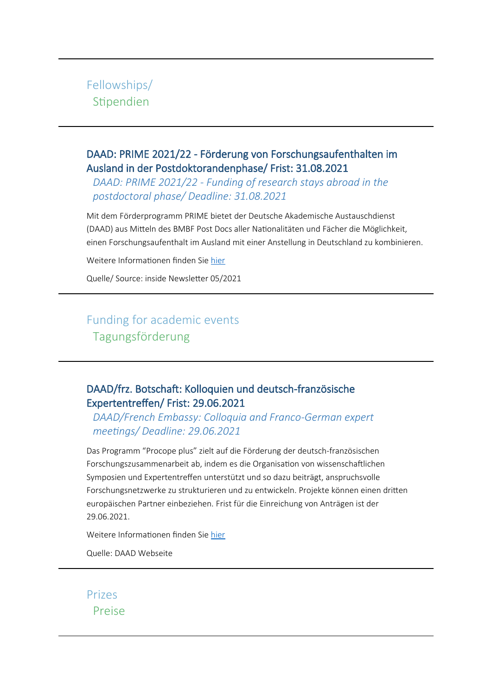### <span id="page-8-2"></span>Fellowships/ Stipendien

#### DAAD: PRIME 2021/22 - Förderung von Forschungsaufenthalten im Ausland in der Postdoktorandenphase/ Frist: 31.08.2021

*DAAD: PRIME 2021/22 - Funding of research stays abroad in the postdoctoral phase/ Deadline: 31.08.2021*

Mit dem Förderprogramm PRIME bietet der Deutsche Akademische Austauschdienst (DAAD) aus Mitteln des BMBF Post Docs aller Nationalitäten und Fächer die Möglichkeit, einen Forschungsaufenthalt im Ausland mit einer Anstellung in Deutschland zu kombinieren.

Weitere Informationen finden Sie [hier](https://www.daad.de/de/studieren-und-forschen-in-deutschland/stipendien-finden/postdoctoral-researchers-international-mobility-experience/)

Quelle/ Source: inside Newsletter 05/2021

## Funding for academic events Tagungsförderung

#### <span id="page-8-1"></span>DAAD/frz. Botschaft: Kolloquien und deutsch-französische Expertentreffen/ Frist: 29.06.2021

*DAAD/French Embassy: Colloquia and Franco-German expert meetings/ Deadline: 29.06.2021*

Das Programm "Procope plus" zielt auf die Förderung der deutsch-französischen Forschungszusammenarbeit ab, indem es die Organisation von wissenschaftlichen Symposien und Expertentreffen unterstützt und so dazu beiträgt, anspruchsvolle Forschungsnetzwerke zu strukturieren und zu entwickeln. Projekte können einen dritten europäischen Partner einbeziehen. Frist für die Einreichung von Anträgen ist der 29.06.2021.

Weitere Informationen finden Sie [hier](https://www.kooperation-international.de/aktuelles/bekanntmachungen/detail/info/procope-plus-2022-beihilfen-fuer-die-organisation-wissenschaftlicher-kolloquien-und-deutsch-franzoesi/)

Quelle: DAAD Webseite

<span id="page-8-0"></span>Prizes Preise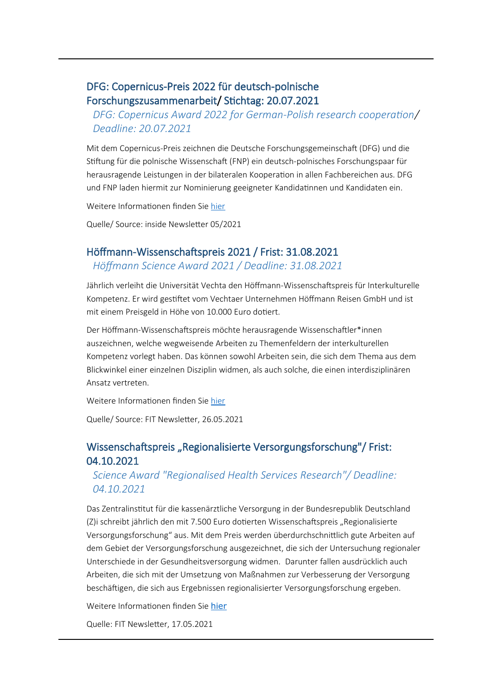#### DFG: Copernicus-Preis 2022 für deutsch-polnische Forschungszusammenarbeit/ Stichtag: 20.07.2021

#### *DFG: Copernicus Award 2022 for German-Polish research cooperation/ Deadline: 20.07.2021*

Mit dem Copernicus-Preis zeichnen die Deutsche Forschungsgemeinschaft (DFG) und die Stiftung für die polnische Wissenschaft (FNP) ein deutsch-polnisches Forschungspaar für herausragende Leistungen in der bilateralen Kooperation in allen Fachbereichen aus. DFG und FNP laden hiermit zur Nominierung geeigneter Kandidatinnen und Kandidaten ein.

Weitere Informationen finden Sie [hier](http://www.dfg.de/foerderung/info_wissenschaft/internationaler_bezug/info_wissenschaft_21_40/index.html)

Quelle/ Source: inside Newsletter 05/2021

#### Höffmann-Wissenschaftspreis 2021 / Frist: 31.08.2021 *Höffmann Science Award 2021 / Deadline: 31.08.2021*

Jährlich verleiht die Universität Vechta den Höffmann-Wissenschaftspreis für Interkulturelle Kompetenz. Er wird gestiftet vom Vechtaer Unternehmen Höffmann Reisen GmbH und ist mit einem Preisgeld in Höhe von 10.000 Euro dotiert.

Der Höffmann-Wissenschaftspreis möchte herausragende Wissenschaftler\*innen auszeichnen, welche wegweisende Arbeiten zu Themenfeldern der interkulturellen Kompetenz vorlegt haben. Das können sowohl Arbeiten sein, die sich dem Thema aus dem Blickwinkel einer einzelnen Disziplin widmen, als auch solche, die einen interdisziplinären Ansatz vertreten.

Weitere Informationen finden Sie [hier](https://www.mynewsdesk.com/de/universitaet-vechta/pressreleases/hoeffmann-wissenschaftspreis-2021-ausgeschrieben-3092829)

Quelle/ Source: FIT Newsletter, 26.05.2021

#### Wissenschaftspreis "Regionalisierte Versorgungsforschung"/ Frist: 04.10.2021

*Science Award "Regionalised Health Services Research"/ Deadline: 04.10.2021*

Das Zentralinstitut für die kassenärztliche Versorgung in der Bundesrepublik Deutschland (Z)i schreibt jährlich den mit 7.500 Euro dotierten Wissenschaftspreis "Regionalisierte Versorgungsforschung" aus. Mit dem Preis werden überdurchschnittlich gute Arbeiten auf dem Gebiet der Versorgungsforschung ausgezeichnet, die sich der Untersuchung regionaler Unterschiede in der Gesundheitsversorgung widmen. Darunter fallen ausdrücklich auch Arbeiten, die sich mit der Umsetzung von Maßnahmen zur Verbesserung der Versorgung beschäftigen, die sich aus Ergebnissen regionalisierter Versorgungsforschung ergeben.

Weitere Informationen finden Sie [hier](https://www.zi.de/ausschreibungen/wissenschaftspreis/)

Quelle: FIT Newsletter, 17.05.2021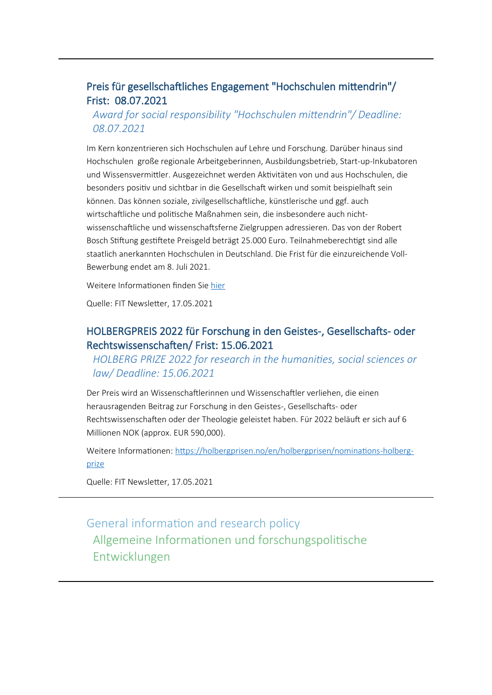#### Preis für gesellschaftliches Engagement "Hochschulen mittendrin"/ Frist: 08.07.2021

#### *Award for social responsibility "Hochschulen mittendrin"/ Deadline: 08.07.2021*

Im Kern konzentrieren sich Hochschulen auf Lehre und Forschung. Darüber hinaus sind Hochschulen große regionale Arbeitgeberinnen, Ausbildungsbetrieb, Start-up-Inkubatoren und Wissensvermittler. Ausgezeichnet werden Aktivitäten von und aus Hochschulen, die besonders positiv und sichtbar in die Gesellschaft wirken und somit beispielhaft sein können. Das können soziale, zivilgesellschaftliche, künstlerische und ggf. auch wirtschaftliche und politische Maßnahmen sein, die insbesondere auch nichtwissenschaftliche und wissenschaftsferne Zielgruppen adressieren. Das von der Robert Bosch Stiftung gestiftete Preisgeld beträgt 25.000 Euro. Teilnahmeberechtigt sind alle staatlich anerkannten Hochschulen in Deutschland. Die Frist für die einzureichende Voll-Bewerbung endet am 8. Juli 2021.

Weitere Informationen finden Sie [hier](https://www.hrk.de/hrk/preis-fuer-gesellschaftliches-engagement/)

Quelle: FIT Newsletter, 17.05.2021

#### HOLBERGPREIS 2022 für Forschung in den Geistes-, Gesellschafts- oder Rechtswissenschaften/ Frist: 15.06.2021

*HOLBERG PRIZE 2022 for research in the humanities, social sciences or law/ Deadline: 15.06.2021*

Der Preis wird an Wissenschaftlerinnen und Wissenschaftler verliehen, die einen herausragenden Beitrag zur Forschung in den Geistes-, Gesellschafts- oder Rechtswissenschaften oder der Theologie geleistet haben. Für 2022 beläuft er sich auf 6 Millionen NOK (approx. EUR 590,000).

Weitere Informationen: [https://holbergprisen.no/en/holbergprisen/nominations-holberg](https://holbergprisen.no/en/holbergprisen/nominations-holberg-prize)[prize](https://holbergprisen.no/en/holbergprisen/nominations-holberg-prize)

Quelle: FIT Newsletter, 17.05.2021

General information and research policy Allgemeine Informationen und forschungspolitische Entwicklungen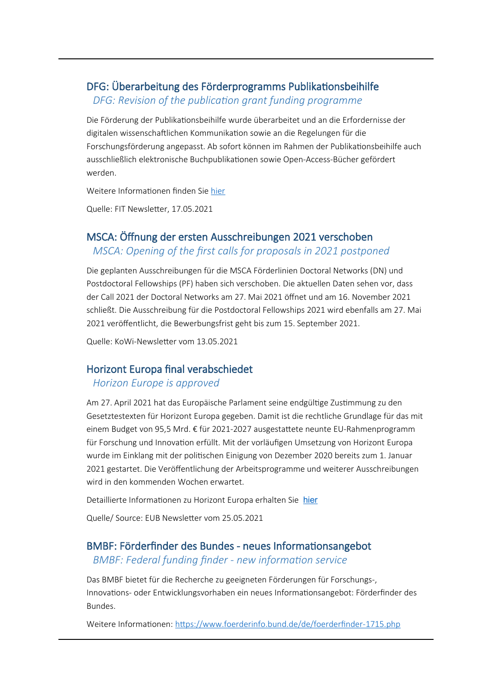#### <span id="page-11-0"></span>DFG: Überarbeitung des Förderprogramms Publikationsbeihilfe

*DFG: Revision of the publication grant funding programme* 

Die Förderung der Publikationsbeihilfe wurde überarbeitet und an die Erfordernisse der digitalen wissenschaftlichen Kommunikation sowie an die Regelungen für die Forschungsförderung angepasst. Ab sofort können im Rahmen der Publikationsbeihilfe auch ausschließlich elektronische Buchpublikationen sowie Open-Access-Bücher gefördert werden.

Weitere Informationen finden Sie [hier](http://www.dfg.de/foerderung/info_wissenschaft/2021/info_wissenschaft_21_23)

Quelle: FIT Newsletter, 17.05.2021

# MSCA: Öffnung der ersten Ausschreibungen 2021 verschoben

#### *MSCA: Opening of the first calls for proposals in 2021 postponed*

Die geplanten Ausschreibungen für die MSCA Förderlinien Doctoral Networks (DN) und Postdoctoral Fellowships (PF) haben sich verschoben. Die aktuellen Daten sehen vor, dass der Call 2021 der Doctoral Networks am 27. Mai 2021 öffnet und am 16. November 2021 schließt. Die Ausschreibung für die Postdoctoral Fellowships 2021 wird ebenfalls am 27. Mai 2021 veröffentlicht, die Bewerbungsfrist geht bis zum 15. September 2021.

Quelle: KoWi-Newsletter vom 13.05.2021

#### Horizont Europa final verabschiedet

#### *Horizon Europe is approved*

Am 27. April 2021 hat das Europäische Parlament seine endgültige Zustimmung zu den Gesetztestexten für Horizont Europa gegeben. Damit ist die rechtliche Grundlage für das mit einem Budget von 95,5 Mrd. € für 2021-2027 ausgestattete neunte EU-Rahmenprogramm für Forschung und Innovation erfüllt. Mit der vorläufigen Umsetzung von Horizont Europa wurde im Einklang mit der politischen Einigung von Dezember 2020 bereits zum 1. Januar 2021 gestartet. Die Veröffentlichung der Arbeitsprogramme und weiterer Ausschreibungen wird in den kommenden Wochen erwartet.

Detaillierte Informationen zu Horizont Europa erhalten Sie [hier](https://www.horizont-europa.de/)

Quelle/ Source: EUB Newsletter vom 25.05.2021

#### BMBF: Förderfinder des Bundes - neues Informationsangebot

#### *BMBF: Federal funding finder - new information service*

Das BMBF bietet für die Recherche zu geeigneten Förderungen für Forschungs-, Innovations- oder Entwicklungsvorhaben ein neues Informationsangebot: Förderfinder des Bundes.

Weitere Informationen: <https://www.foerderinfo.bund.de/de/foerderfinder-1715.php>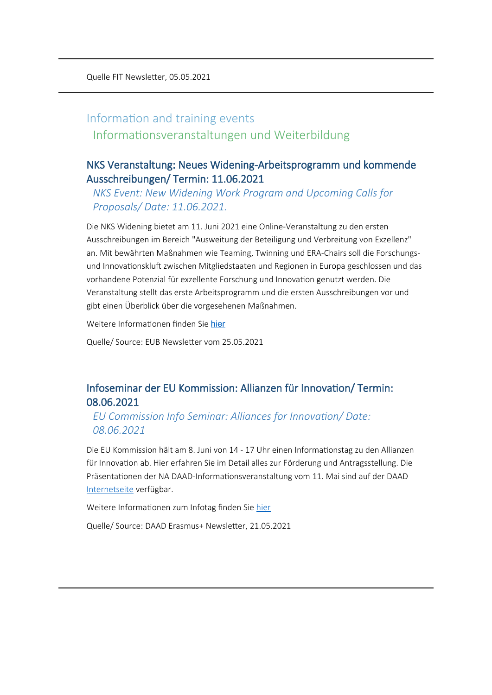## Information and training events Informationsveranstaltungen und Weiterbildung

#### NKS Veranstaltung: Neues Widening-Arbeitsprogramm und kommende Ausschreibungen/ Termin: 11.06.2021

*NKS Event: New Widening Work Program and Upcoming Calls for Proposals/ Date: 11.06.2021.*

Die NKS Widening bietet am 11. Juni 2021 eine Online-Veranstaltung zu den ersten Ausschreibungen im Bereich "Ausweitung der Beteiligung und Verbreitung von Exzellenz" an. Mit bewährten Maßnahmen wie Teaming, Twinning und ERA-Chairs soll die Forschungsund Innovationskluft zwischen Mitgliedstaaten und Regionen in Europa geschlossen und das vorhandene Potenzial für exzellente Forschung und Innovation genutzt werden. Die Veranstaltung stellt das erste Arbeitsprogramm und die ersten Ausschreibungen vor und gibt einen Überblick über die vorgesehenen Maßnahmen.

Weitere Informationen finden Sie [hier](https://www.eubuero.de/veranstaltungen.htm?id=1947&#viewanc)

Quelle/ Source: EUB Newsletter vom 25.05.2021

#### Infoseminar der EU Kommission: Allianzen für Innovation/ Termin: 08.06.2021

*EU Commission Info Seminar: Alliances for Innovation/ Date: 08.06.2021*

Die EU Kommission hält am 8. Juni von 14 - 17 Uhr einen Informationstag zu den Allianzen für Innovation ab. Hier erfahren Sie im Detail alles zur Förderung und Antragsstellung. Die Präsentationen der NA DAAD-Informationsveranstaltung vom 11. Mai sind auf der DAAD [Internetseite](https://eu.daad.de/service/veranstaltungen/de/79681-allianzen-fuer-innovation-antragstellerseminar-2021/) verfügbar.

Weitere Informationen zum Infotag finden Sie [hier](https://www.eacea.ec.europa.eu/news-events/events/info-session-new-call-proposals-erasmus-alliances-innovation-2021_en)

Quelle/ Source: DAAD Erasmus+ Newsletter, 21.05.2021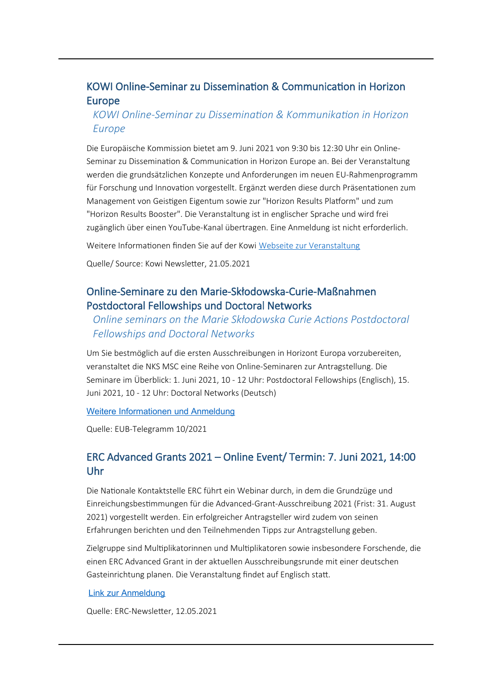#### <span id="page-13-0"></span>KOWI Online-Seminar zu Dissemination & Communication in Horizon Europe

#### *KOWI Online-Seminar zu Dissemination & Kommunikation in Horizon Europe*

Die Europäische Kommission bietet am 9. Juni 2021 von 9:30 bis 12:30 Uhr ein Online-Seminar zu Dissemination & Communication in Horizon Europe an. Bei der Veranstaltung werden die grundsätzlichen Konzepte und Anforderungen im neuen EU-Rahmenprogramm für Forschung und Innovation vorgestellt. Ergänzt werden diese durch Präsentationen zum Management von Geistigen Eigentum sowie zur "Horizon Results Platform" und zum "Horizon Results Booster". Die Veranstaltung ist in englischer Sprache und wird frei zugänglich über einen YouTube-Kanal übertragen. Eine Anmeldung ist nicht erforderlich.

Weitere Informationen finden Sie auf der Kowi [Webseite zur Veranstaltung](https://ec.europa.eu/research/participants/docs/h2020-funding-guide/other/event210609.htm)

Quelle/ Source: Kowi Newsletter, 21.05.2021

#### Online-Seminare zu den Marie-Skłodowska-Curie-Maßnahmen Postdoctoral Fellowships und Doctoral Networks

#### *Online seminars on the Marie Skłodowska Curie Actions Postdoctoral Fellowships and Doctoral Networks*

Um Sie bestmöglich auf die ersten Ausschreibungen in Horizont Europa vorzubereiten, veranstaltet die NKS MSC eine Reihe von Online-Seminaren zur Antragstellung. Die Seminare im Überblick: 1. Juni 2021, 10 - 12 Uhr: Postdoctoral Fellowships (Englisch), 15. Juni 2021, 10 - 12 Uhr: Doctoral Networks (Deutsch)

#### [Weitere Informationen und Anmeldung](https://www.nks-msc.de/de/service-veranstaltungen.php)

Quelle: EUB-Telegramm 10/2021

#### ERC Advanced Grants 2021 – Online Event/ Termin: 7. Juni 2021, 14:00 Uhr

Die Nationale Kontaktstelle ERC führt ein Webinar durch, in dem die Grundzüge und Einreichungsbestimmungen für die Advanced-Grant-Ausschreibung 2021 (Frist: 31. August 2021) vorgestellt werden. Ein erfolgreicher Antragsteller wird zudem von seinen Erfahrungen berichten und den Teilnehmenden Tipps zur Antragstellung geben.

Zielgruppe sind Multiplikatorinnen und Multiplikatoren sowie insbesondere Forschende, die einen ERC Advanced Grant in der aktuellen Ausschreibungsrunde mit einer deutschen Gasteinrichtung planen. Die Veranstaltung findet auf Englisch statt.

#### [Link zur Anmeldung](https://nks-erc.events.idloom.com/erc-adg-2021-info-event)

Quelle: ERC-Newsletter, 12.05.2021